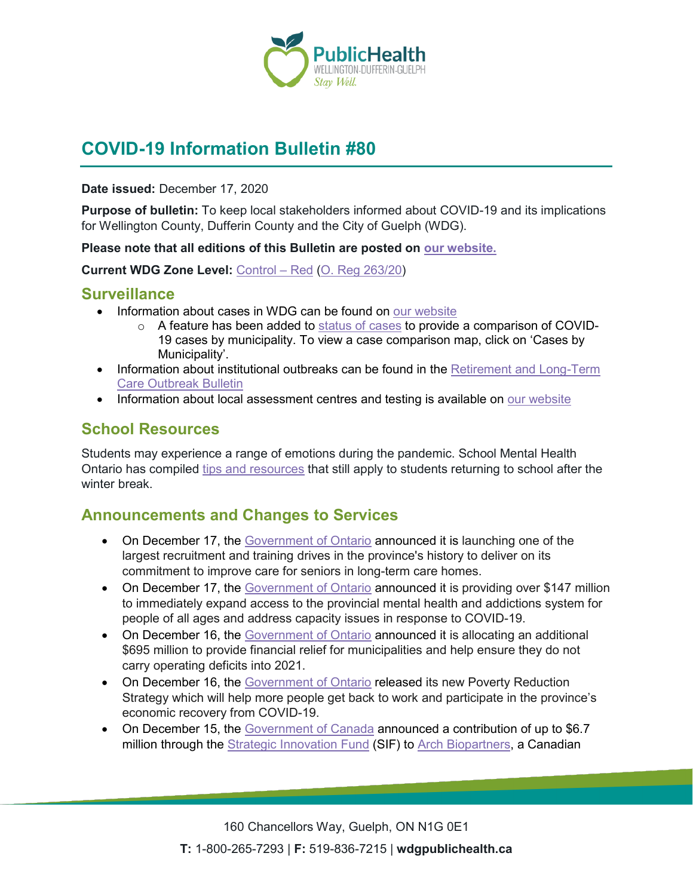

# **COVID-19 Information Bulletin #80**

**Date issued:** December 17, 2020

**Purpose of bulletin:** To keep local stakeholders informed about COVID-19 and its implications for Wellington County, Dufferin County and the City of Guelph (WDG).

**Please note that all editions of this Bulletin are posted on [our website.](https://www.wdgpublichealth.ca/your-health/covid-19-information-workplaces-and-living-spaces/community-stakeholder-bulletins)**

**Current WDG Zone Level:** [Control](https://www.ontario.ca/page/covid-19-response-framework-keeping-ontario-safe-and-open#control) – Red [\(O. Reg 263/20\)](https://www.ontario.ca/laws/regulation/200263)

#### **Surveillance**

- Information about cases in WDG can be found on [our website](https://wdgpublichealth.ca/your-health/covid-19-information-public/status-cases-wdg)
	- o A feature has been added to [status of cases](https://wdgpublichealth.ca/your-health/covid-19-information-public/status-cases-wdg) to provide a comparison of COVID-19 cases by municipality. To view a case comparison map, click on 'Cases by Municipality'.
- Information about institutional outbreaks can be found in the Retirement and Long-Term [Care Outbreak Bulletin](https://wdgpublichealth.ca/node/1542)
- Information about local assessment centres and testing is available on [our website](https://www.wdgpublichealth.ca/your-health/covid-19-information-public/assessment-centres-wdg)

## **School Resources**

Students may experience a range of emotions during the pandemic. School Mental Health Ontario has compiled [tips and resources](https://smho-smso.ca/covid-19/educators/) that still apply to students returning to school after the winter break.

### **Announcements and Changes to Services**

- On December 17, the [Government of Ontario](https://news.ontario.ca/en/release/59727/ontario-launches-historic-long-term-care-staffing-plan) announced it is launching one of the largest recruitment and training drives in the province's history to deliver on its commitment to improve care for seniors in long-term care homes.
- On December 17, the [Government of Ontario](https://news.ontario.ca/en/release/59716/ontario-increasing-mental-health-and-addictions-services) announced it is providing over \$147 million to immediately expand access to the provincial mental health and addictions system for people of all ages and address capacity issues in response to COVID-19.
- On December 16, the [Government of Ontario](https://news.ontario.ca/en/release/59677/ontario-provides-more-financial-relief-for-municipalities-during-covid-19) announced it is allocating an additional \$695 million to provide financial relief for municipalities and help ensure they do not carry operating deficits into 2021.
- On December 16, the [Government of Ontario](https://news.ontario.ca/en/release/59692/ontario-unveils-new-comprehensive-plan-to-combat-poverty) released its new Poverty Reduction Strategy which will help more people get back to work and participate in the province's economic recovery from COVID-19.
- On December 15, the [Government of Canada](https://www.canada.ca/en/innovation-science-economic-development/news/2020/12/government-of-canada-invests-in-promising-treatment-that-could-fight-covid-19.html) announced a contribution of up to \$6.7 million through the **[Strategic Innovation Fund](https://www.ic.gc.ca/eic/site/125.nsf/eng/home) (SIF)** to **Arch Biopartners**, a Canadian